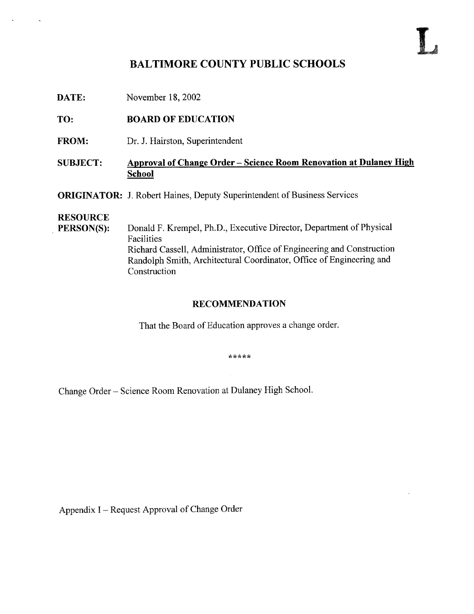# BALTIMORE COUNTY PUBLIC SCHOOLS

DATE: November 18, 2002

TO: BOARD OF EDUCATION

FROM: Dr. J. Hairston, Superintendent

### SUBJECT: Approval of Change Order - Science Room Renovation at Dulaney High School

**ORIGINATOR:** J. Robert Haines, Deputy Superintendent of Business Services

# **RESOURCE**<br>PERSON(S):

Donald F. Krempel, Ph.D., Executive Director, Department of Physical Facilities Richard Cassell, Administrator, Office of Engineering and Construction Randolph Smith, Architectural Coordinator, Office of Engineering and Construction

#### RECOMMENDATION

That the Board of Education approves <sup>a</sup> change order.

\*\*\*\*\*

Change Order - Science Room Renovation at Dulaney High School .

Appendix <sup>I</sup> - Request Approval of Change Order